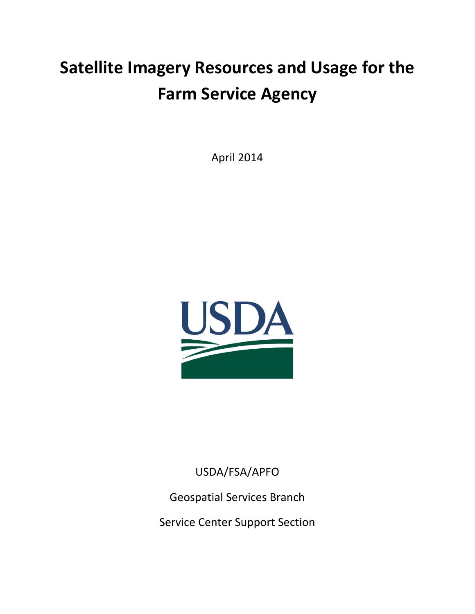# **Satellite Imagery Resources and Usage for the Farm Service Agency**

April 2014



USDA/FSA/APFO

Geospatial Services Branch

Service Center Support Section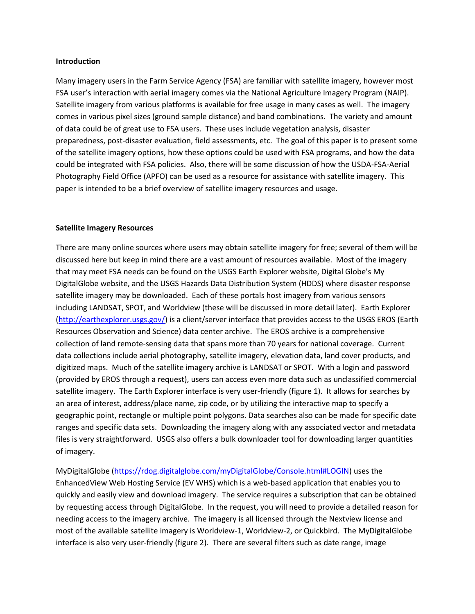#### **Introduction**

Many imagery users in the Farm Service Agency (FSA) are familiar with satellite imagery, however most FSA user's interaction with aerial imagery comes via the National Agriculture Imagery Program (NAIP). Satellite imagery from various platforms is available for free usage in many cases as well. The imagery comes in various pixel sizes (ground sample distance) and band combinations. The variety and amount of data could be of great use to FSA users. These uses include vegetation analysis, disaster preparedness, post-disaster evaluation, field assessments, etc. The goal of this paper is to present some of the satellite imagery options, how these options could be used with FSA programs, and how the data could be integrated with FSA policies. Also, there will be some discussion of how the USDA-FSA-Aerial Photography Field Office (APFO) can be used as a resource for assistance with satellite imagery. This paper is intended to be a brief overview of satellite imagery resources and usage.

#### **Satellite Imagery Resources**

There are many online sources where users may obtain satellite imagery for free; several of them will be discussed here but keep in mind there are a vast amount of resources available. Most of the imagery that may meet FSA needs can be found on the USGS Earth Explorer website, Digital Globe's My DigitalGlobe website, and the USGS Hazards Data Distribution System (HDDS) where disaster response satellite imagery may be downloaded. Each of these portals host imagery from various sensors including LANDSAT, SPOT, and Worldview (these will be discussed in more detail later). Earth Explorer [\(http://earthexplorer.usgs.gov/\)](http://earthexplorer.usgs.gov/) is a client/server interface that provides access to the USGS EROS (Earth Resources Observation and Science) data center archive. The EROS archive is a comprehensive collection of land remote-sensing data that spans more than 70 years for national coverage. Current data collections include aerial photography, satellite imagery, elevation data, land cover products, and digitized maps. Much of the satellite imagery archive is LANDSAT or SPOT. With a login and password (provided by EROS through a request), users can access even more data such as unclassified commercial satellite imagery. The Earth Explorer interface is very user-friendly (figure 1). It allows for searches by an area of interest, address/place name, zip code, or by utilizing the interactive map to specify a geographic point, rectangle or multiple point polygons. Data searches also can be made for specific date ranges and specific data sets. Downloading the imagery along with any associated vector and metadata files is very straightforward. USGS also offers a bulk downloader tool for downloading larger quantities of imagery.

MyDigitalGlobe [\(https://rdog.digitalglobe.com/myDigitalGlobe/Console.html#LOGIN\)](https://rdog.digitalglobe.com/myDigitalGlobe/Console.html#LOGIN) uses the EnhancedView Web Hosting Service (EV WHS) which is a web-based application that enables you to quickly and easily view and download imagery. The service requires a subscription that can be obtained by requesting access through DigitalGlobe. In the request, you will need to provide a detailed reason for needing access to the imagery archive. The imagery is all licensed through the Nextview license and most of the available satellite imagery is Worldview-1, Worldview-2, or Quickbird. The MyDigitalGlobe interface is also very user-friendly (figure 2). There are several filters such as date range, image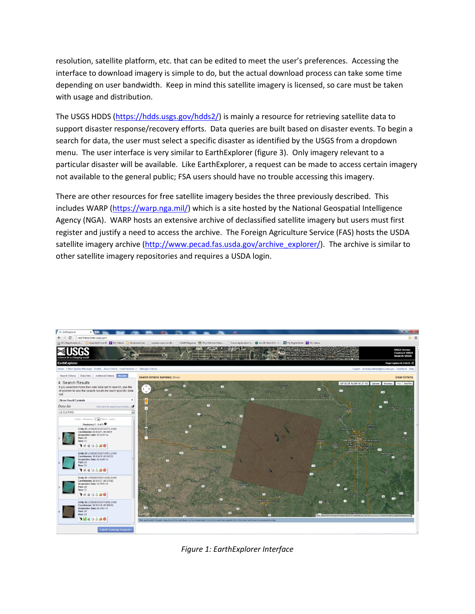resolution, satellite platform, etc. that can be edited to meet the user's preferences. Accessing the interface to download imagery is simple to do, but the actual download process can take some time depending on user bandwidth. Keep in mind this satellite imagery is licensed, so care must be taken with usage and distribution.

The USGS HDDS [\(https://hdds.usgs.gov/hdds2/\)](https://hdds.usgs.gov/hdds2/) is mainly a resource for retrieving satellite data to support disaster response/recovery efforts. Data queries are built based on disaster events. To begin a search for data, the user must select a specific disaster as identified by the USGS from a dropdown menu. The user interface is very similar to EarthExplorer (figure 3). Only imagery relevant to a particular disaster will be available. Like EarthExplorer, a request can be made to access certain imagery not available to the general public; FSA users should have no trouble accessing this imagery.

There are other resources for free satellite imagery besides the three previously described. This includes WARP [\(https://warp.nga.mil/\)](https://warp.nga.mil/) which is a site hosted by the National Geospatial Intelligence Agency (NGA). WARP hosts an extensive archive of declassified satellite imagery but users must first register and justify a need to access the archive. The Foreign Agriculture Service (FAS) hosts the USDA satellite imagery archive [\(http://www.pecad.fas.usda.gov/archive\\_explorer/\)](http://www.pecad.fas.usda.gov/archive_explorer/). The archive is similar to other satellite imagery repositories and requires a USDA login.



*Figure 1: EarthExplorer Interface*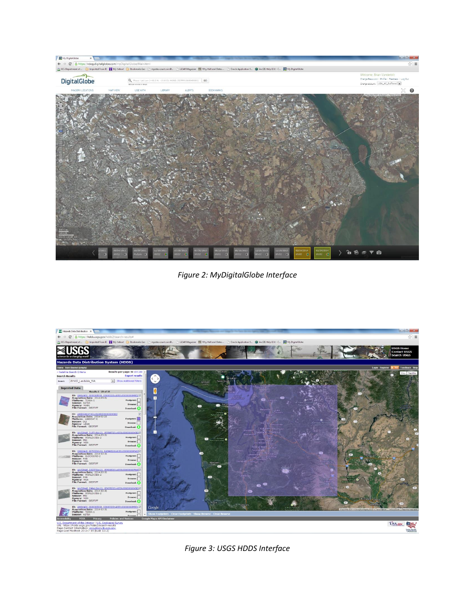

*Figure 2: MyDigitalGlobe Interface*



*Figure 3: USGS HDDS Interface*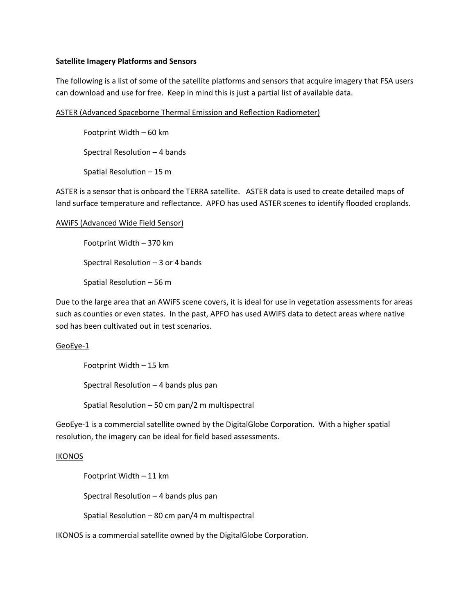#### **Satellite Imagery Platforms and Sensors**

The following is a list of some of the satellite platforms and sensors that acquire imagery that FSA users can download and use for free. Keep in mind this is just a partial list of available data.

#### ASTER (Advanced Spaceborne Thermal Emission and Reflection Radiometer)

Footprint Width – 60 km Spectral Resolution – 4 bands

Spatial Resolution – 15 m

ASTER is a sensor that is onboard the TERRA satellite. ASTER data is used to create detailed maps of land surface temperature and reflectance. APFO has used ASTER scenes to identify flooded croplands.

## AWiFS (Advanced Wide Field Sensor)

Footprint Width – 370 km

Spectral Resolution – 3 or 4 bands

Spatial Resolution – 56 m

Due to the large area that an AWiFS scene covers, it is ideal for use in vegetation assessments for areas such as counties or even states. In the past, APFO has used AWiFS data to detect areas where native sod has been cultivated out in test scenarios.

# GeoEye-1

Footprint Width – 15 km

Spectral Resolution – 4 bands plus pan

Spatial Resolution – 50 cm pan/2 m multispectral

GeoEye-1 is a commercial satellite owned by the DigitalGlobe Corporation. With a higher spatial resolution, the imagery can be ideal for field based assessments.

#### **IKONOS**

Footprint Width – 11 km

Spectral Resolution – 4 bands plus pan

Spatial Resolution – 80 cm pan/4 m multispectral

IKONOS is a commercial satellite owned by the DigitalGlobe Corporation.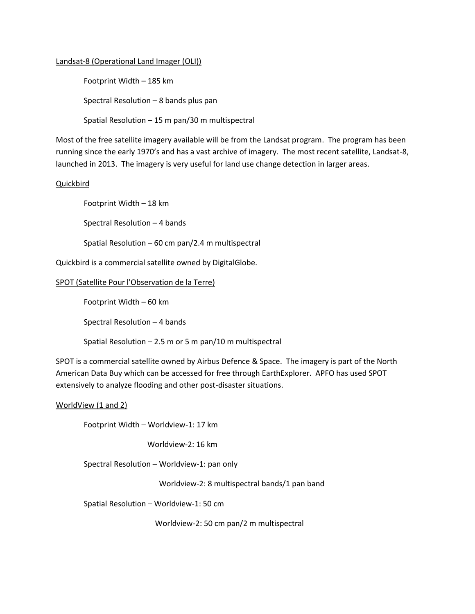#### Landsat-8 (Operational Land Imager (OLI))

Footprint Width – 185 km

Spectral Resolution – 8 bands plus pan

Spatial Resolution – 15 m pan/30 m multispectral

Most of the free satellite imagery available will be from the Landsat program. The program has been running since the early 1970's and has a vast archive of imagery. The most recent satellite, Landsat-8, launched in 2013. The imagery is very useful for land use change detection in larger areas.

## Quickbird

Footprint Width – 18 km

Spectral Resolution – 4 bands

Spatial Resolution – 60 cm pan/2.4 m multispectral

Quickbird is a commercial satellite owned by DigitalGlobe.

#### SPOT (Satellite Pour l'Observation de la Terre)

Footprint Width – 60 km

Spectral Resolution – 4 bands

Spatial Resolution – 2.5 m or 5 m pan/10 m multispectral

SPOT is a commercial satellite owned by Airbus Defence & Space. The imagery is part of the North American Data Buy which can be accessed for free through EarthExplorer. APFO has used SPOT extensively to analyze flooding and other post-disaster situations.

#### WorldView (1 and 2)

Footprint Width – Worldview-1: 17 km

Worldview-2: 16 km

Spectral Resolution – Worldview-1: pan only

Worldview-2: 8 multispectral bands/1 pan band

Spatial Resolution – Worldview-1: 50 cm

Worldview-2: 50 cm pan/2 m multispectral